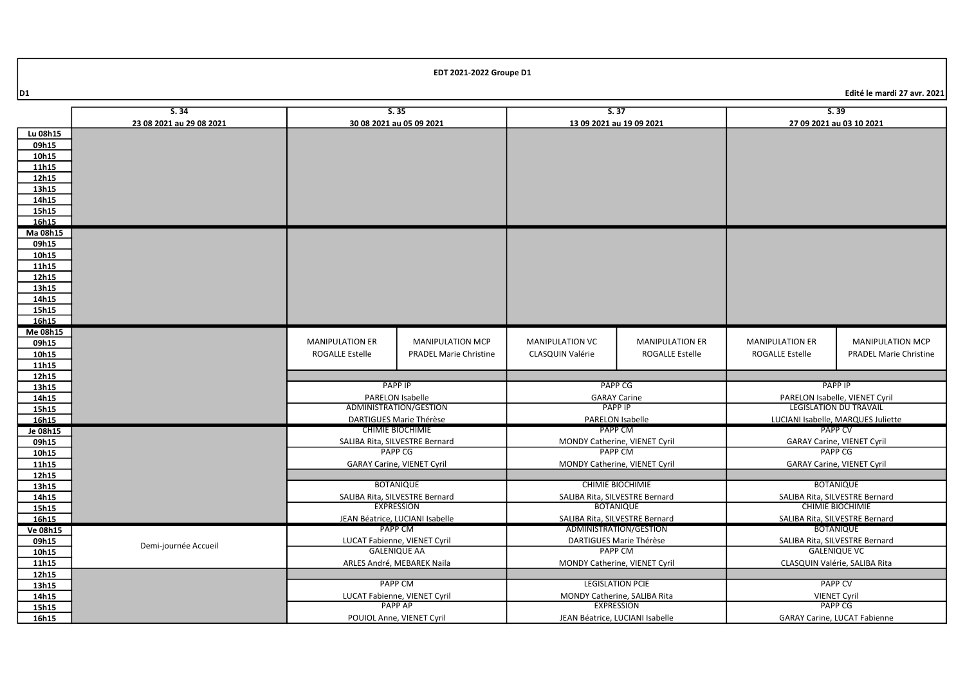|                | S.34                     | S.35                           |                                   | S.37                                              |                                 | S.39                                      |                                     |
|----------------|--------------------------|--------------------------------|-----------------------------------|---------------------------------------------------|---------------------------------|-------------------------------------------|-------------------------------------|
|                | 23 08 2021 au 29 08 2021 | 30 08 2021 au 05 09 2021       |                                   | 13 09 2021 au 19 09 2021                          |                                 | 27 09 2021 au 03 10 2021                  |                                     |
| Lu 08h15       |                          |                                |                                   |                                                   |                                 |                                           |                                     |
| 09h15          |                          |                                |                                   |                                                   |                                 |                                           |                                     |
| 10h15          |                          |                                |                                   |                                                   |                                 |                                           |                                     |
| 11h15          |                          |                                |                                   |                                                   |                                 |                                           |                                     |
| 12h15          |                          |                                |                                   |                                                   |                                 |                                           |                                     |
| 13h15          |                          |                                |                                   |                                                   |                                 |                                           |                                     |
| 14h15          |                          |                                |                                   |                                                   |                                 |                                           |                                     |
| 15h15          |                          |                                |                                   |                                                   |                                 |                                           |                                     |
| 16h15          |                          |                                |                                   |                                                   |                                 |                                           |                                     |
| Ma 08h15       |                          |                                |                                   |                                                   |                                 |                                           |                                     |
| 09h15          |                          |                                |                                   |                                                   |                                 |                                           |                                     |
| 10h15          |                          |                                |                                   |                                                   |                                 |                                           |                                     |
| 11h15          |                          |                                |                                   |                                                   |                                 |                                           |                                     |
| 12h15          |                          |                                |                                   |                                                   |                                 |                                           |                                     |
| 13h15          |                          |                                |                                   |                                                   |                                 |                                           |                                     |
| 14h15          |                          |                                |                                   |                                                   |                                 |                                           |                                     |
| 15h15          |                          |                                |                                   |                                                   |                                 |                                           |                                     |
| 16h15          |                          |                                |                                   |                                                   |                                 |                                           |                                     |
| Me 08h15       |                          | <b>MANIPULATION ER</b>         | <b>MANIPULATION MCP</b>           | <b>MANIPULATION VC</b>                            | <b>MANIPULATION ER</b>          | <b>MANIPULATION ER</b>                    | <b>MANIPULATION MCP</b>             |
| 09h15          |                          |                                |                                   |                                                   |                                 |                                           |                                     |
| 10h15          |                          | <b>ROGALLE Estelle</b>         | <b>PRADEL Marie Christine</b>     | CLASQUIN Valérie                                  | <b>ROGALLE Estelle</b>          | <b>ROGALLE Estelle</b>                    | <b>PRADEL Marie Christine</b>       |
| 11h15<br>12h15 |                          |                                |                                   |                                                   |                                 |                                           |                                     |
| 13h15          |                          |                                | <b>PAPP IP</b>                    |                                                   | <b>PAPP CG</b>                  |                                           | <b>PAPP IP</b>                      |
| 14h15          |                          |                                | <b>PARELON Isabelle</b>           |                                                   | <b>GARAY Carine</b>             | PARELON Isabelle, VIENET Cyril            |                                     |
| 15h15          |                          | ADMINISTRATION/GESTION         |                                   | <b>PAPP IP</b>                                    |                                 |                                           | <b>LEGISLATION DU TRAVAIL</b>       |
| 16h15          |                          | DARTIGUES Marie Thérèse        |                                   | PARELON Isabelle                                  |                                 |                                           | LUCIANI Isabelle, MARQUES Juliette  |
| Je 08h15       |                          | <b>CHIMIE BIOCHIMIE</b>        |                                   | PAPP CM                                           |                                 |                                           | <b>PAPP CV</b>                      |
| 09h15          |                          | SALIBA Rita, SILVESTRE Bernard |                                   |                                                   | MONDY Catherine, VIENET Cyril   |                                           | <b>GARAY Carine, VIENET Cyril</b>   |
| 10h15          |                          |                                | <b>PAPP CG</b>                    | <b>PAPP CM</b>                                    |                                 | <b>PAPP CG</b>                            |                                     |
| 11h15          |                          |                                | <b>GARAY Carine, VIENET Cyril</b> | MONDY Catherine, VIENET Cyril                     |                                 | <b>GARAY Carine, VIENET Cyril</b>         |                                     |
| 12h15          |                          |                                |                                   |                                                   |                                 |                                           |                                     |
| 13h15          |                          |                                | <b>BOTANIQUE</b>                  | <b>CHIMIE BIOCHIMIE</b>                           |                                 | <b>BOTANIQUE</b>                          |                                     |
| 14h15          |                          | SALIBA Rita, SILVESTRE Bernard |                                   | SALIBA Rita, SILVESTRE Bernard                    |                                 | SALIBA Rita, SILVESTRE Bernard            |                                     |
| 15h15          |                          |                                | <b>EXPRESSION</b>                 |                                                   | <b>BOTANIQUE</b>                |                                           | <b>CHIMIE BIOCHIMIE</b>             |
| 16h15          |                          |                                | JEAN Béatrice, LUCIANI Isabelle   |                                                   | SALIBA Rita, SILVESTRE Bernard  |                                           | SALIBA Rita, SILVESTRE Bernard      |
| Ve 08h15       |                          | PAPP CM                        |                                   | ADMINISTRATION/GESTION                            |                                 | <b>BOTANIQUE</b>                          |                                     |
| 09h15          | Demi-journée Accueil     | LUCAT Fabienne, VIENET Cyril   |                                   | DARTIGUES Marie Thérèse                           |                                 | SALIBA Rita, SILVESTRE Bernard            |                                     |
| 10h15          |                          | <b>GALENIQUE AA</b>            |                                   | <b>PAPP CM</b>                                    |                                 | <b>GALENIQUE VC</b>                       |                                     |
| 11h15          |                          | ARLES André, MEBAREK Naila     |                                   | MONDY Catherine, VIENET Cyril                     |                                 | CLASQUIN Valérie, SALIBA Rita             |                                     |
| 12h15          |                          |                                |                                   |                                                   |                                 |                                           |                                     |
| 13h15          |                          |                                | <b>PAPP CM</b>                    |                                                   | <b>LEGISLATION PCIE</b>         | <b>PAPP CV</b>                            |                                     |
| 14h15          |                          |                                | LUCAT Fabienne, VIENET Cyril      | MONDY Catherine, SALIBA Rita<br><b>EXPRESSION</b> |                                 | <b>VIENET Cyril</b><br>PAPP <sub>CG</sub> |                                     |
| 15h15          |                          |                                | <b>PAPP AP</b>                    |                                                   |                                 |                                           |                                     |
| 16h15          |                          |                                | POUIOL Anne, VIENET Cyril         |                                                   | JEAN Béatrice, LUCIANI Isabelle |                                           | <b>GARAY Carine, LUCAT Fabienne</b> |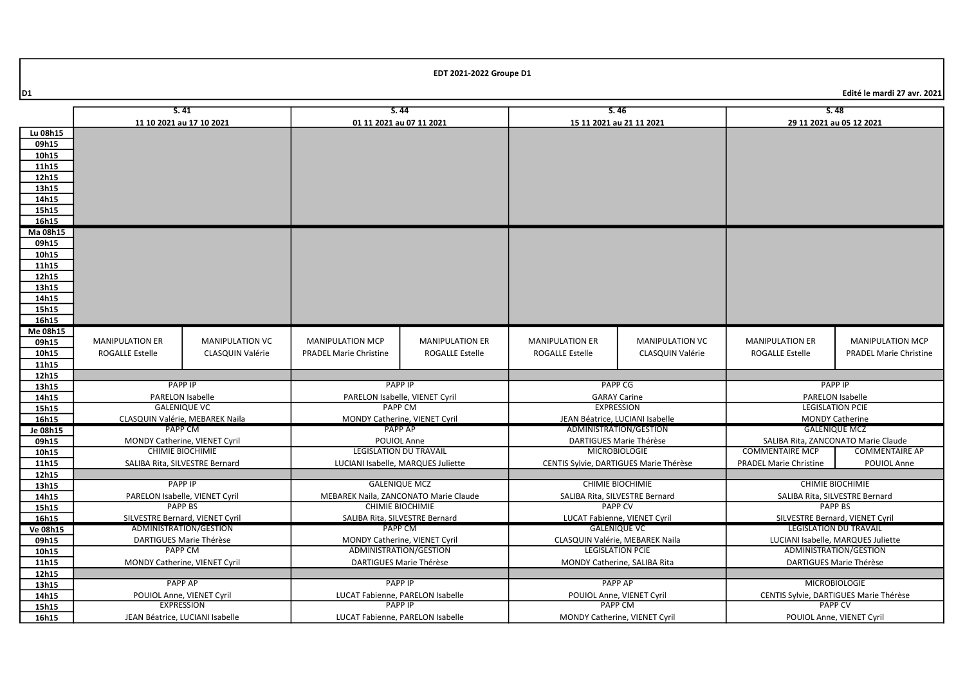|                | S.41                                                                 |                                 | S.44                                                    |                                                    | S.46                                                       |                                             | S.48                                                         |                                        |  |
|----------------|----------------------------------------------------------------------|---------------------------------|---------------------------------------------------------|----------------------------------------------------|------------------------------------------------------------|---------------------------------------------|--------------------------------------------------------------|----------------------------------------|--|
|                | 11 10 2021 au 17 10 2021                                             |                                 | 01 11 2021 au 07 11 2021                                |                                                    | 15 11 2021 au 21 11 2021                                   |                                             | 29 11 2021 au 05 12 2021                                     |                                        |  |
| Lu 08h15       |                                                                      |                                 |                                                         |                                                    |                                                            |                                             |                                                              |                                        |  |
| 09h15          |                                                                      |                                 |                                                         |                                                    |                                                            |                                             |                                                              |                                        |  |
| 10h15          |                                                                      |                                 |                                                         |                                                    |                                                            |                                             |                                                              |                                        |  |
| 11h15          |                                                                      |                                 |                                                         |                                                    |                                                            |                                             |                                                              |                                        |  |
| 12h15          |                                                                      |                                 |                                                         |                                                    |                                                            |                                             |                                                              |                                        |  |
| 13h15          |                                                                      |                                 |                                                         |                                                    |                                                            |                                             |                                                              |                                        |  |
| 14h15          |                                                                      |                                 |                                                         |                                                    |                                                            |                                             |                                                              |                                        |  |
| 15h15          |                                                                      |                                 |                                                         |                                                    |                                                            |                                             |                                                              |                                        |  |
| 16h15          |                                                                      |                                 |                                                         |                                                    |                                                            |                                             |                                                              |                                        |  |
| Ma 08h15       |                                                                      |                                 |                                                         |                                                    |                                                            |                                             |                                                              |                                        |  |
| 09h15          |                                                                      |                                 |                                                         |                                                    |                                                            |                                             |                                                              |                                        |  |
| 10h15          |                                                                      |                                 |                                                         |                                                    |                                                            |                                             |                                                              |                                        |  |
| 11h15          |                                                                      |                                 |                                                         |                                                    |                                                            |                                             |                                                              |                                        |  |
| 12h15          |                                                                      |                                 |                                                         |                                                    |                                                            |                                             |                                                              |                                        |  |
| 13h15          |                                                                      |                                 |                                                         |                                                    |                                                            |                                             |                                                              |                                        |  |
| 14h15          |                                                                      |                                 |                                                         |                                                    |                                                            |                                             |                                                              |                                        |  |
| 15h15          |                                                                      |                                 |                                                         |                                                    |                                                            |                                             |                                                              |                                        |  |
| 16h15          |                                                                      |                                 |                                                         |                                                    |                                                            |                                             |                                                              |                                        |  |
| Me 08h15       |                                                                      |                                 |                                                         |                                                    |                                                            |                                             |                                                              |                                        |  |
| 09h15          | <b>MANIPULATION ER</b>                                               | <b>MANIPULATION VC</b>          | <b>MANIPULATION MCP</b>                                 | <b>MANIPULATION ER</b>                             | <b>MANIPULATION ER</b>                                     | <b>MANIPULATION VC</b>                      | <b>MANIPULATION ER</b>                                       | <b>MANIPULATION MCP</b>                |  |
| 10h15          | <b>ROGALLE Estelle</b>                                               | <b>CLASQUIN Valérie</b>         | <b>PRADEL Marie Christine</b>                           | <b>ROGALLE Estelle</b>                             | <b>ROGALLE Estelle</b>                                     | CLASQUIN Valérie                            | <b>ROGALLE Estelle</b>                                       | <b>PRADEL Marie Christine</b>          |  |
| 11h15          |                                                                      |                                 |                                                         |                                                    |                                                            |                                             |                                                              |                                        |  |
| 12h15          |                                                                      |                                 |                                                         |                                                    |                                                            |                                             |                                                              |                                        |  |
| 13h15          | <b>PAPP IP</b>                                                       |                                 | <b>PAPP IP</b>                                          |                                                    |                                                            | <b>PAPP CG</b>                              |                                                              | <b>PAPP IP</b>                         |  |
| 14h15          |                                                                      | PARELON Isabelle                | PARELON Isabelle, VIENET Cyril                          |                                                    |                                                            | <b>GARAY Carine</b>                         |                                                              | PARELON Isabelle                       |  |
| 15h15          |                                                                      | <b>GALENIQUE VC</b>             | PAPP CM                                                 |                                                    |                                                            | <b>EXPRESSION</b>                           |                                                              | <b>LEGISLATION PCIE</b>                |  |
| 16h15          |                                                                      | CLASQUIN Valérie, MEBAREK Naila | MONDY Catherine, VIENET Cyril                           |                                                    |                                                            | JEAN Béatrice, LUCIANI Isabelle             |                                                              | <b>MONDY Catherine</b>                 |  |
| Je 08h15       |                                                                      | PAPP CM                         | <b>PAPP AP</b>                                          |                                                    |                                                            | ADMINISTRATION/GESTION                      |                                                              | <b>GALENIQUE MCZ</b>                   |  |
| 09h15          |                                                                      | MONDY Catherine, VIENET Cyril   | POUIOL Anne                                             |                                                    | DARTIGUES Marie Thérèse                                    |                                             | SALIBA Rita, ZANCONATO Marie Claude                          |                                        |  |
| 10h15          |                                                                      | <b>CHIMIE BIOCHIMIE</b>         | LEGISLATION DU TRAVAIL                                  |                                                    | <b>MICROBIOLOGIE</b>                                       |                                             | <b>COMMENTAIRE MCP</b>                                       | <b>COMMENTAIRE AP</b>                  |  |
| 11h15          | SALIBA Rita, SILVESTRE Bernard<br>LUCIANI Isabelle, MARQUES Juliette |                                 |                                                         |                                                    | CENTIS Sylvie, DARTIGUES Marie Thérèse                     | <b>PRADEL Marie Christine</b>               | POUIOL Anne                                                  |                                        |  |
| 12h15          |                                                                      |                                 | <b>GALENIQUE MCZ</b>                                    |                                                    | <b>CHIMIE BIOCHIMIE</b>                                    |                                             | <b>CHIMIE BIOCHIMIE</b>                                      |                                        |  |
| 13h15          | PAPP IP                                                              |                                 |                                                         |                                                    |                                                            |                                             |                                                              |                                        |  |
| 14h15          | PARELON Isabelle, VIENET Cyril<br><b>PAPP BS</b>                     |                                 | MEBAREK Naila, ZANCONATO Marie Claude                   |                                                    | SALIBA Rita, SILVESTRE Bernard<br><b>PAPP CV</b>           |                                             | SALIBA Rita, SILVESTRE Bernard<br><b>PAPP BS</b>             |                                        |  |
| 15h15          |                                                                      | <b>CHIMIE BIOCHIMIE</b>         |                                                         |                                                    |                                                            | SILVESTRE Bernard, VIENET Cyril             |                                                              |                                        |  |
| 16h15          | SILVESTRE Bernard, VIENET Cyril                                      |                                 | SALIBA Rita, SILVESTRE Bernard<br>PAPP CM               |                                                    | LUCAT Fabienne, VIENET Cyril<br><b>GALENIQUE VC</b>        |                                             | <b>LEGISLATION DU TRAVAIL</b>                                |                                        |  |
| Ve 08h15       | ADMINISTRATION/GESTION                                               |                                 |                                                         |                                                    |                                                            |                                             |                                                              |                                        |  |
| 09h15          | DARTIGUES Marie Thérèse<br><b>PAPP CM</b>                            |                                 | MONDY Catherine, VIENET Cyril<br>ADMINISTRATION/GESTION |                                                    | CLASQUIN Valérie, MEBAREK Naila<br><b>LEGISLATION PCIE</b> |                                             | LUCIANI Isabelle, MARQUES Juliette<br>ADMINISTRATION/GESTION |                                        |  |
| 10h15          |                                                                      |                                 |                                                         |                                                    |                                                            |                                             |                                                              |                                        |  |
| 11h15          | MONDY Catherine, VIENET Cyril                                        |                                 | DARTIGUES Marie Thérèse                                 |                                                    | MONDY Catherine, SALIBA Rita                               |                                             | DARTIGUES Marie Thérèse                                      |                                        |  |
| 12h15<br>13h15 | <b>PAPP AP</b>                                                       |                                 |                                                         |                                                    |                                                            |                                             | <b>MICROBIOLOGIE</b>                                         |                                        |  |
|                |                                                                      | POUIOL Anne, VIENET Cyril       |                                                         | <b>PAPP IP</b><br>LUCAT Fabienne, PARELON Isabelle |                                                            | <b>PAPP AP</b><br>POUIOL Anne, VIENET Cyril |                                                              | CENTIS Sylvie, DARTIGUES Marie Thérèse |  |
|                |                                                                      |                                 |                                                         |                                                    |                                                            |                                             |                                                              |                                        |  |
| 14h15<br>15h15 |                                                                      | <b>EXPRESSION</b>               | <b>PAPP IP</b>                                          |                                                    |                                                            | <b>PAPP CM</b>                              |                                                              | PAPP CV                                |  |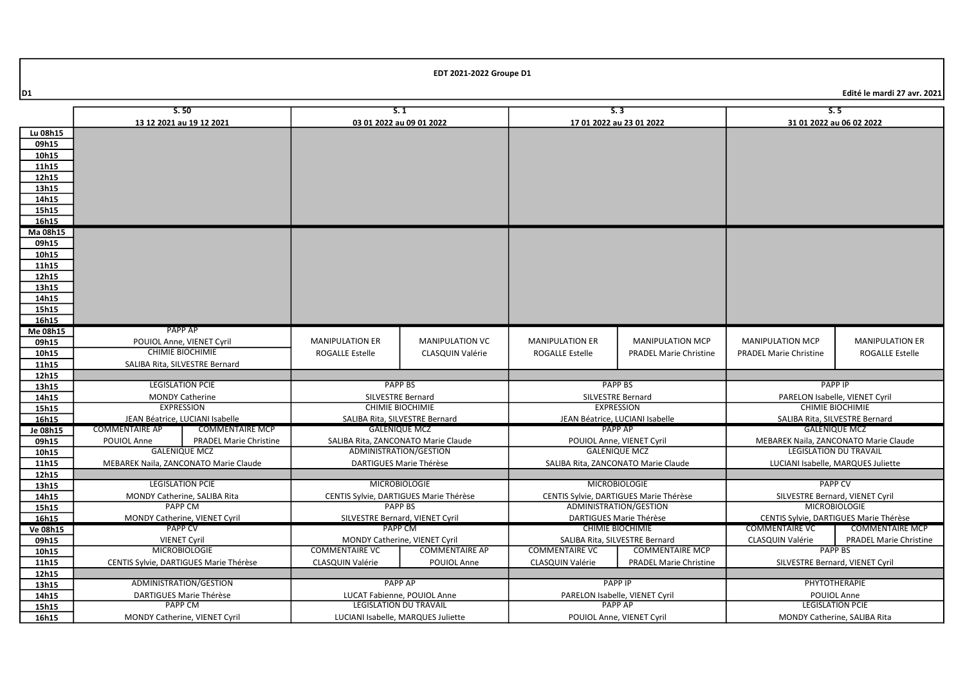|          |                                        | S.50                            | S.1                                            |                                     | S.3                                               |                                 | S.5                                    |                                       |
|----------|----------------------------------------|---------------------------------|------------------------------------------------|-------------------------------------|---------------------------------------------------|---------------------------------|----------------------------------------|---------------------------------------|
|          | 13 12 2021 au 19 12 2021               |                                 | 03 01 2022 au 09 01 2022                       |                                     | 17 01 2022 au 23 01 2022                          |                                 | 31 01 2022 au 06 02 2022               |                                       |
| Lu 08h15 |                                        |                                 |                                                |                                     |                                                   |                                 |                                        |                                       |
| 09h15    |                                        |                                 |                                                |                                     |                                                   |                                 |                                        |                                       |
| 10h15    |                                        |                                 |                                                |                                     |                                                   |                                 |                                        |                                       |
| 11h15    |                                        |                                 |                                                |                                     |                                                   |                                 |                                        |                                       |
| 12h15    |                                        |                                 |                                                |                                     |                                                   |                                 |                                        |                                       |
| 13h15    |                                        |                                 |                                                |                                     |                                                   |                                 |                                        |                                       |
| 14h15    |                                        |                                 |                                                |                                     |                                                   |                                 |                                        |                                       |
| 15h15    |                                        |                                 |                                                |                                     |                                                   |                                 |                                        |                                       |
| 16h15    |                                        |                                 |                                                |                                     |                                                   |                                 |                                        |                                       |
| Ma 08h15 |                                        |                                 |                                                |                                     |                                                   |                                 |                                        |                                       |
| 09h15    |                                        |                                 |                                                |                                     |                                                   |                                 |                                        |                                       |
| 10h15    |                                        |                                 |                                                |                                     |                                                   |                                 |                                        |                                       |
| 11h15    |                                        |                                 |                                                |                                     |                                                   |                                 |                                        |                                       |
| 12h15    |                                        |                                 |                                                |                                     |                                                   |                                 |                                        |                                       |
| 13h15    |                                        |                                 |                                                |                                     |                                                   |                                 |                                        |                                       |
| 14h15    |                                        |                                 |                                                |                                     |                                                   |                                 |                                        |                                       |
| 15h15    |                                        |                                 |                                                |                                     |                                                   |                                 |                                        |                                       |
| 16h15    |                                        |                                 |                                                |                                     |                                                   |                                 |                                        |                                       |
| Me 08h15 | PAPP AP                                |                                 |                                                |                                     |                                                   |                                 |                                        |                                       |
| 09h15    | POUIOL Anne, VIENET Cyril              |                                 | <b>MANIPULATION ER</b>                         | <b>MANIPULATION VC</b>              | <b>MANIPULATION ER</b>                            | <b>MANIPULATION MCP</b>         | <b>MANIPULATION MCP</b>                | <b>MANIPULATION ER</b>                |
| 10h15    | <b>CHIMIE BIOCHIMIE</b>                |                                 | <b>ROGALLE Estelle</b>                         | <b>CLASQUIN Valérie</b>             | ROGALLE Estelle                                   | <b>PRADEL Marie Christine</b>   | <b>PRADEL Marie Christine</b>          | <b>ROGALLE Estelle</b>                |
| 11h15    | SALIBA Rita, SILVESTRE Bernard         |                                 |                                                |                                     |                                                   |                                 |                                        |                                       |
| 12h15    |                                        |                                 |                                                |                                     |                                                   |                                 |                                        |                                       |
| 13h15    | <b>LEGISLATION PCIE</b>                |                                 |                                                | <b>PAPP BS</b>                      |                                                   | <b>PAPP BS</b>                  |                                        | <b>PAPP IP</b>                        |
| 14h15    | <b>MONDY Catherine</b>                 |                                 |                                                | SILVESTRE Bernard                   |                                                   | <b>SILVESTRE Bernard</b>        | PARELON Isabelle, VIENET Cyril         |                                       |
| 15h15    | <b>EXPRESSION</b>                      |                                 | <b>CHIMIE BIOCHIMIE</b>                        |                                     |                                                   | <b>EXPRESSION</b>               | <b>CHIMIE BIOCHIMIE</b>                |                                       |
| 16h15    |                                        | JEAN Béatrice, LUCIANI Isabelle | SALIBA Rita, SILVESTRE Bernard                 |                                     |                                                   | JEAN Béatrice, LUCIANI Isabelle |                                        | SALIBA Rita, SILVESTRE Bernard        |
| Je 08h15 | <b>COMMENTAIRE AP</b>                  | <b>COMMENTAIRE MCP</b>          | <b>GALENIQUE MCZ</b>                           |                                     |                                                   | <b>PAPP AP</b>                  |                                        | <b>GALENIQUE MCZ</b>                  |
| 09h15    | POUIOL Anne                            | <b>PRADEL Marie Christine</b>   |                                                | SALIBA Rita, ZANCONATO Marie Claude | POUIOL Anne, VIENET Cyril                         |                                 |                                        | MEBAREK Naila, ZANCONATO Marie Claude |
| 10h15    |                                        | <b>GALENIQUE MCZ</b>            | ADMINISTRATION/GESTION                         |                                     |                                                   | <b>GALENIQUE MCZ</b>            | <b>LEGISLATION DU TRAVAIL</b>          |                                       |
| 11h15    | MEBAREK Naila, ZANCONATO Marie Claude  |                                 | DARTIGUES Marie Thérèse                        |                                     | SALIBA Rita, ZANCONATO Marie Claude               |                                 | LUCIANI Isabelle, MARQUES Juliette     |                                       |
| 12h15    |                                        |                                 |                                                |                                     |                                                   |                                 |                                        |                                       |
| 13h15    | <b>LEGISLATION PCIE</b>                |                                 | <b>MICROBIOLOGIE</b>                           |                                     | <b>MICROBIOLOGIE</b>                              |                                 | <b>PAPP CV</b>                         |                                       |
| 14h15    | MONDY Catherine, SALIBA Rita           |                                 | CENTIS Sylvie, DARTIGUES Marie Thérèse         |                                     | CENTIS Sylvie, DARTIGUES Marie Thérèse            |                                 | SILVESTRE Bernard, VIENET Cyril        |                                       |
| 15h15    | PAPP CM                                |                                 | PAPP BS                                        |                                     | ADMINISTRATION/GESTION                            |                                 | <b>MICROBIOLOGIE</b>                   |                                       |
| 16h15    | MONDY Catherine, VIENET Cyril          |                                 | SILVESTRE Bernard, VIENET Cyril                |                                     | DARTIGUES Marie Thérèse                           |                                 | CENTIS Sylvie, DARTIGUES Marie Thérèse |                                       |
| Ve 08h15 | <b>PAPP CV</b>                         |                                 | PAPP CM                                        |                                     | <b>CHIMIE BIOCHIMIE</b>                           |                                 | <b>COMMENTAIRE VC</b>                  | <b>COMMENTAIRE MCP</b>                |
| 09h15    | <b>VIENET Cyril</b>                    |                                 | MONDY Catherine, VIENET Cyril                  |                                     |                                                   | SALIBA Rita, SILVESTRE Bernard  | CLASQUIN Valérie                       | <b>PRADEL Marie Christine</b>         |
| 10h15    | <b>MICROBIOLOGIE</b>                   |                                 | <b>COMMENTAIRE VC</b><br><b>COMMENTAIRE AP</b> |                                     | <b>COMMENTAIRE VC</b><br><b>COMMENTAIRE MCP</b>   |                                 | <b>PAPP BS</b>                         |                                       |
| 11h15    | CENTIS Sylvie, DARTIGUES Marie Thérèse |                                 | <b>CLASQUIN Valérie</b>                        | POUIOL Anne                         | CLASQUIN Valérie<br><b>PRADEL Marie Christine</b> |                                 | SILVESTRE Bernard, VIENET Cyril        |                                       |
| 12h15    |                                        |                                 |                                                |                                     |                                                   |                                 |                                        |                                       |
| 13h15    |                                        | ADMINISTRATION/GESTION          |                                                | <b>PAPP AP</b>                      | <b>PAPP IP</b>                                    |                                 |                                        | PHYTOTHERAPIE                         |
| 14h15    |                                        | DARTIGUES Marie Thérèse         |                                                | LUCAT Fabienne, POUIOL Anne         | PARELON Isabelle, VIENET Cyril                    |                                 | POUIOL Anne                            |                                       |
| 15h15    |                                        | <b>PAPP CM</b>                  |                                                | <b>LEGISLATION DU TRAVAIL</b>       |                                                   | <b>PAPP AP</b>                  |                                        | <b>LEGISLATION PCIE</b>               |
| 16h15    | MONDY Catherine, VIENET Cyril          |                                 | LUCIANI Isabelle, MARQUES Juliette             |                                     | POUIOL Anne, VIENET Cyril                         |                                 | MONDY Catherine, SALIBA Rita           |                                       |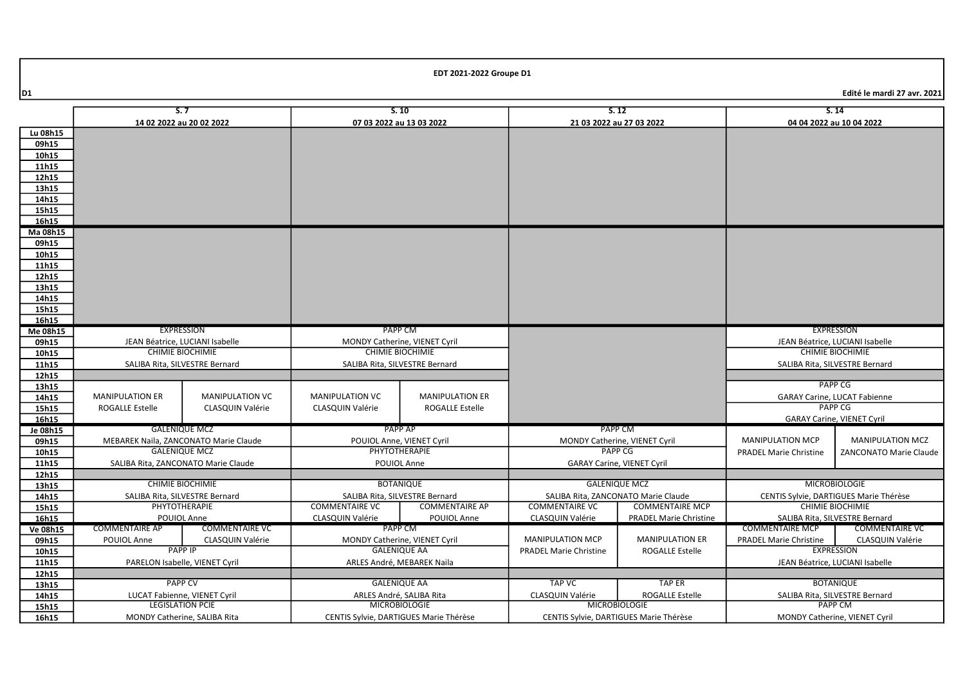|                | S.7                                   |                                                                 |                                        | S.10                                                 |                                        | S.12                                                     |                                        | S.14                                |
|----------------|---------------------------------------|-----------------------------------------------------------------|----------------------------------------|------------------------------------------------------|----------------------------------------|----------------------------------------------------------|----------------------------------------|-------------------------------------|
|                | 14 02 2022 au 20 02 2022              |                                                                 |                                        | 07 03 2022 au 13 03 2022<br>21 03 2022 au 27 03 2022 |                                        | 04 04 2022 au 10 04 2022                                 |                                        |                                     |
| Lu 08h15       |                                       |                                                                 |                                        |                                                      |                                        |                                                          |                                        |                                     |
| 09h15          |                                       |                                                                 |                                        |                                                      |                                        |                                                          |                                        |                                     |
| 10h15          |                                       |                                                                 |                                        |                                                      |                                        |                                                          |                                        |                                     |
|                |                                       |                                                                 |                                        |                                                      |                                        |                                                          |                                        |                                     |
| 11h15          |                                       |                                                                 |                                        |                                                      |                                        |                                                          |                                        |                                     |
| 12h15          |                                       |                                                                 |                                        |                                                      |                                        |                                                          |                                        |                                     |
| 13h15          |                                       |                                                                 |                                        |                                                      |                                        |                                                          |                                        |                                     |
| 14h15          |                                       |                                                                 |                                        |                                                      |                                        |                                                          |                                        |                                     |
| 15h15          |                                       |                                                                 |                                        |                                                      |                                        |                                                          |                                        |                                     |
| 16h15          |                                       |                                                                 |                                        |                                                      |                                        |                                                          |                                        |                                     |
| Ma 08h15       |                                       |                                                                 |                                        |                                                      |                                        |                                                          |                                        |                                     |
| 09h15          |                                       |                                                                 |                                        |                                                      |                                        |                                                          |                                        |                                     |
| 10h15          |                                       |                                                                 |                                        |                                                      |                                        |                                                          |                                        |                                     |
| 11h15          |                                       |                                                                 |                                        |                                                      |                                        |                                                          |                                        |                                     |
| 12h15<br>13h15 |                                       |                                                                 |                                        |                                                      |                                        |                                                          |                                        |                                     |
| 14h15          |                                       |                                                                 |                                        |                                                      |                                        |                                                          |                                        |                                     |
| 15h15          |                                       |                                                                 |                                        |                                                      |                                        |                                                          |                                        |                                     |
| 16h15          |                                       |                                                                 |                                        |                                                      |                                        |                                                          |                                        |                                     |
| Me 08h15       | <b>EXPRESSION</b>                     |                                                                 | <b>PAPP CM</b>                         |                                                      |                                        |                                                          |                                        | <b>EXPRESSION</b>                   |
| 09h15          | JEAN Béatrice, LUCIANI Isabelle       |                                                                 | MONDY Catherine, VIENET Cyril          |                                                      |                                        |                                                          |                                        | JEAN Béatrice, LUCIANI Isabelle     |
| 10h15          | <b>CHIMIE BIOCHIMIE</b>               |                                                                 | <b>CHIMIE BIOCHIMIE</b>                |                                                      |                                        |                                                          |                                        | <b>CHIMIE BIOCHIMIE</b>             |
| 11h15          | SALIBA Rita, SILVESTRE Bernard        |                                                                 | SALIBA Rita, SILVESTRE Bernard         |                                                      |                                        |                                                          |                                        | SALIBA Rita, SILVESTRE Bernard      |
| 12h15          |                                       |                                                                 |                                        |                                                      |                                        |                                                          |                                        |                                     |
| 13h15          |                                       |                                                                 |                                        |                                                      |                                        |                                                          | <b>PAPP CG</b>                         |                                     |
| 14h15          | <b>MANIPULATION ER</b>                | <b>MANIPULATION VC</b>                                          | <b>MANIPULATION VC</b>                 | <b>MANIPULATION ER</b>                               |                                        |                                                          |                                        | <b>GARAY Carine, LUCAT Fabienne</b> |
| 15h15          | <b>ROGALLE Estelle</b>                | CLASQUIN Valérie                                                | CLASQUIN Valérie                       | <b>ROGALLE Estelle</b>                               |                                        |                                                          |                                        | <b>PAPP CG</b>                      |
| 16h15          |                                       |                                                                 |                                        |                                                      |                                        |                                                          |                                        | <b>GARAY Carine, VIENET Cyril</b>   |
| Je 08h15       |                                       | <b>GALENIQUE MCZ</b>                                            |                                        | <b>PAPP AP</b>                                       |                                        | PAPP CM                                                  |                                        |                                     |
| 09h15          | MEBAREK Naila, ZANCONATO Marie Claude |                                                                 | POUIOL Anne, VIENET Cyril              |                                                      |                                        | MONDY Catherine, VIENET Cyril                            | <b>MANIPULATION MCP</b>                | <b>MANIPULATION MCZ</b>             |
| 10h15          | <b>GALENIQUE MCZ</b>                  |                                                                 | PHYTOTHERAPIE                          |                                                      | <b>PAPP CG</b>                         |                                                          | <b>PRADEL Marie Christine</b>          | ZANCONATO Marie Claude              |
| 11h15          | SALIBA Rita, ZANCONATO Marie Claude   |                                                                 | POUIOL Anne                            |                                                      | <b>GARAY Carine, VIENET Cyril</b>      |                                                          |                                        |                                     |
| 12h15          |                                       |                                                                 |                                        |                                                      |                                        |                                                          |                                        |                                     |
| 13h15          | <b>CHIMIE BIOCHIMIE</b>               |                                                                 | <b>BOTANIQUE</b>                       |                                                      | <b>GALENIQUE MCZ</b>                   |                                                          | <b>MICROBIOLOGIE</b>                   |                                     |
| 14h15          | SALIBA Rita, SILVESTRE Bernard        |                                                                 |                                        | SALIBA Rita, SILVESTRE Bernard                       | SALIBA Rita, ZANCONATO Marie Claude    |                                                          | CENTIS Sylvie, DARTIGUES Marie Thérèse |                                     |
| 15h15          |                                       | PHYTOTHERAPIE<br><b>COMMENTAIRE VC</b><br><b>COMMENTAIRE AP</b> |                                        | <b>COMMENTAIRE VC</b>                                | <b>COMMENTAIRE MCP</b>                 |                                                          | <b>CHIMIE BIOCHIMIE</b>                |                                     |
| 16h15          | POUIOL Anne                           |                                                                 | CLASQUIN Valérie                       | POUIOL Anne                                          | <b>CLASQUIN Valérie</b>                | <b>PRADEL Marie Christine</b>                            |                                        | SALIBA Rita, SILVESTRE Bernard      |
| Ve 08h15       | <b>COMMENTAIRE AP</b>                 | <b>COMMENTAIRE VC</b>                                           |                                        | PAPP CM                                              |                                        |                                                          | <b>COMMENTAIRE MCP</b>                 | <b>COMMENTAIRE VC</b>               |
| 09h15          | POUIOL Anne                           | CLASQUIN Valérie                                                |                                        | MONDY Catherine, VIENET Cyril                        | <b>MANIPULATION MCP</b>                | <b>MANIPULATION ER</b>                                   | <b>PRADEL Marie Christine</b>          | CLASQUIN Valérie                    |
| 10h15          | <b>PAPP IP</b>                        |                                                                 | <b>GALENIQUE AA</b>                    |                                                      | <b>PRADEL Marie Christine</b>          | <b>ROGALLE Estelle</b>                                   |                                        | <b>EXPRESSION</b>                   |
| 11h15          | PARELON Isabelle, VIENET Cyril        |                                                                 | ARLES André, MEBAREK Naila             |                                                      |                                        |                                                          |                                        | JEAN Béatrice, LUCIANI Isabelle     |
| 12h15          |                                       |                                                                 |                                        |                                                      |                                        |                                                          |                                        |                                     |
| 13h15          | <b>PAPP CV</b>                        |                                                                 |                                        | <b>GALENIQUE AA</b>                                  | <b>TAP VC</b>                          | TAP ER                                                   |                                        | <b>BOTANIQUE</b>                    |
| 14h15          | LUCAT Fabienne, VIENET Cyril          |                                                                 |                                        | ARLES André, SALIBA Rita                             | CLASQUIN Valérie                       | <b>ROGALLE Estelle</b><br>SALIBA Rita, SILVESTRE Bernard |                                        |                                     |
| 15h15          | <b>LEGISLATION PCIE</b>               |                                                                 |                                        | <b>MICROBIOLOGIE</b>                                 |                                        | <b>MICROBIOLOGIE</b>                                     |                                        | PAPP CM                             |
| 16h15          | MONDY Catherine, SALIBA Rita          |                                                                 | CENTIS Sylvie, DARTIGUES Marie Thérèse |                                                      | CENTIS Sylvie, DARTIGUES Marie Thérèse |                                                          | MONDY Catherine, VIENET Cyril          |                                     |